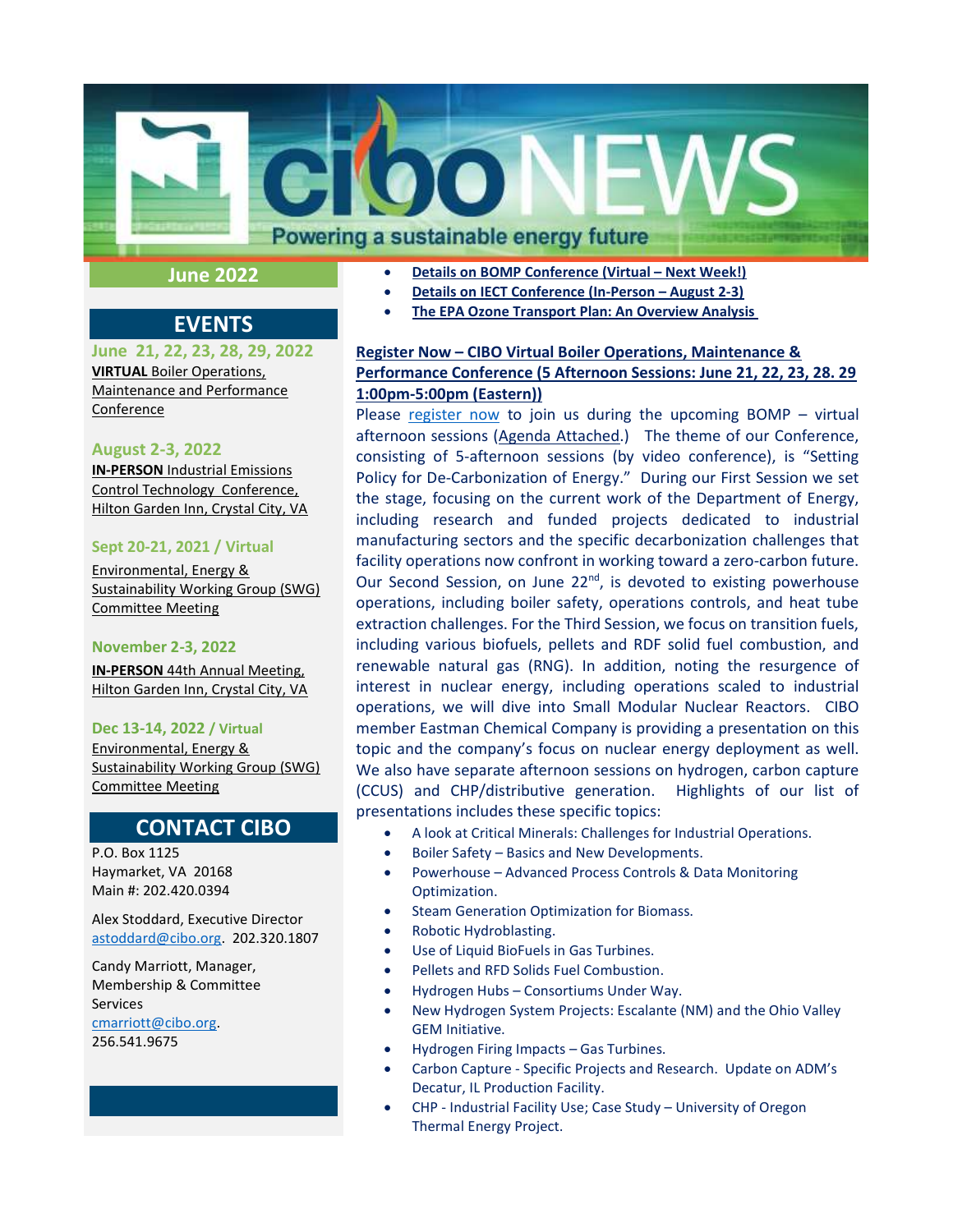

# June 2022

# EVENTS

June 21, 22, 23, 28, 29, 2022 VIRTUAL Boiler Operations, Maintenance and Performance **Conference** 

### August 2-3, 2022

**IN-PERSON Industrial Emissions** Control Technology Conference, Hilton Garden Inn, Crystal City, VA

#### Sept 20-21, 2021 / Virtual

Environmental, Energy & Sustainability Working Group (SWG) Committee Meeting

#### November 2-3, 2022

IN-PERSON 44th Annual Meeting, Hilton Garden Inn, Crystal City, VA

#### Dec 13-14, 2022 / Virtual

Environmental, Energy & Sustainability Working Group (SWG) Committee Meeting

# CONTACT CIBO

P.O. Box 1125 Haymarket, VA 20168 Main #: 202.420.0394

Alex Stoddard, Executive Director astoddard@cibo.org. 202.320.1807

Candy Marriott, Manager, Membership & Committee Services cmarriott@cibo.org. 256.541.9675

- Details on BOMP Conference (Virtual Next Week!)
	- Details on IECT Conference (In-Person August 2-3)
- The EPA Ozone Transport Plan: An Overview Analysis

## Register Now – CIBO Virtual Boiler Operations, Maintenance & Performance Conference (5 Afternoon Sessions: June 21, 22, 23, 28. 29 1:00pm-5:00pm (Eastern))

Please register now to join us during the upcoming BOMP – virtual afternoon sessions (Agenda Attached.) The theme of our Conference, consisting of 5-afternoon sessions (by video conference), is "Setting Policy for De-Carbonization of Energy." During our First Session we set the stage, focusing on the current work of the Department of Energy, including research and funded projects dedicated to industrial manufacturing sectors and the specific decarbonization challenges that facility operations now confront in working toward a zero-carbon future. Our Second Session, on June 22<sup>nd</sup>, is devoted to existing powerhouse operations, including boiler safety, operations controls, and heat tube extraction challenges. For the Third Session, we focus on transition fuels, including various biofuels, pellets and RDF solid fuel combustion, and renewable natural gas (RNG). In addition, noting the resurgence of interest in nuclear energy, including operations scaled to industrial operations, we will dive into Small Modular Nuclear Reactors. CIBO member Eastman Chemical Company is providing a presentation on this topic and the company's focus on nuclear energy deployment as well. We also have separate afternoon sessions on hydrogen, carbon capture (CCUS) and CHP/distributive generation. Highlights of our list of presentations includes these specific topics:

- A look at Critical Minerals: Challenges for Industrial Operations.
- Boiler Safety Basics and New Developments.
- Powerhouse Advanced Process Controls & Data Monitoring Optimization.
- Steam Generation Optimization for Biomass.
- Robotic Hydroblasting.
- Use of Liquid BioFuels in Gas Turbines.
- Pellets and RFD Solids Fuel Combustion.
- Hydrogen Hubs Consortiums Under Way.
- New Hydrogen System Projects: Escalante (NM) and the Ohio Valley GEM Initiative.
- Hydrogen Firing Impacts Gas Turbines.
- Carbon Capture Specific Projects and Research. Update on ADM's Decatur, IL Production Facility.
- CHP Industrial Facility Use; Case Study University of Oregon Thermal Energy Project.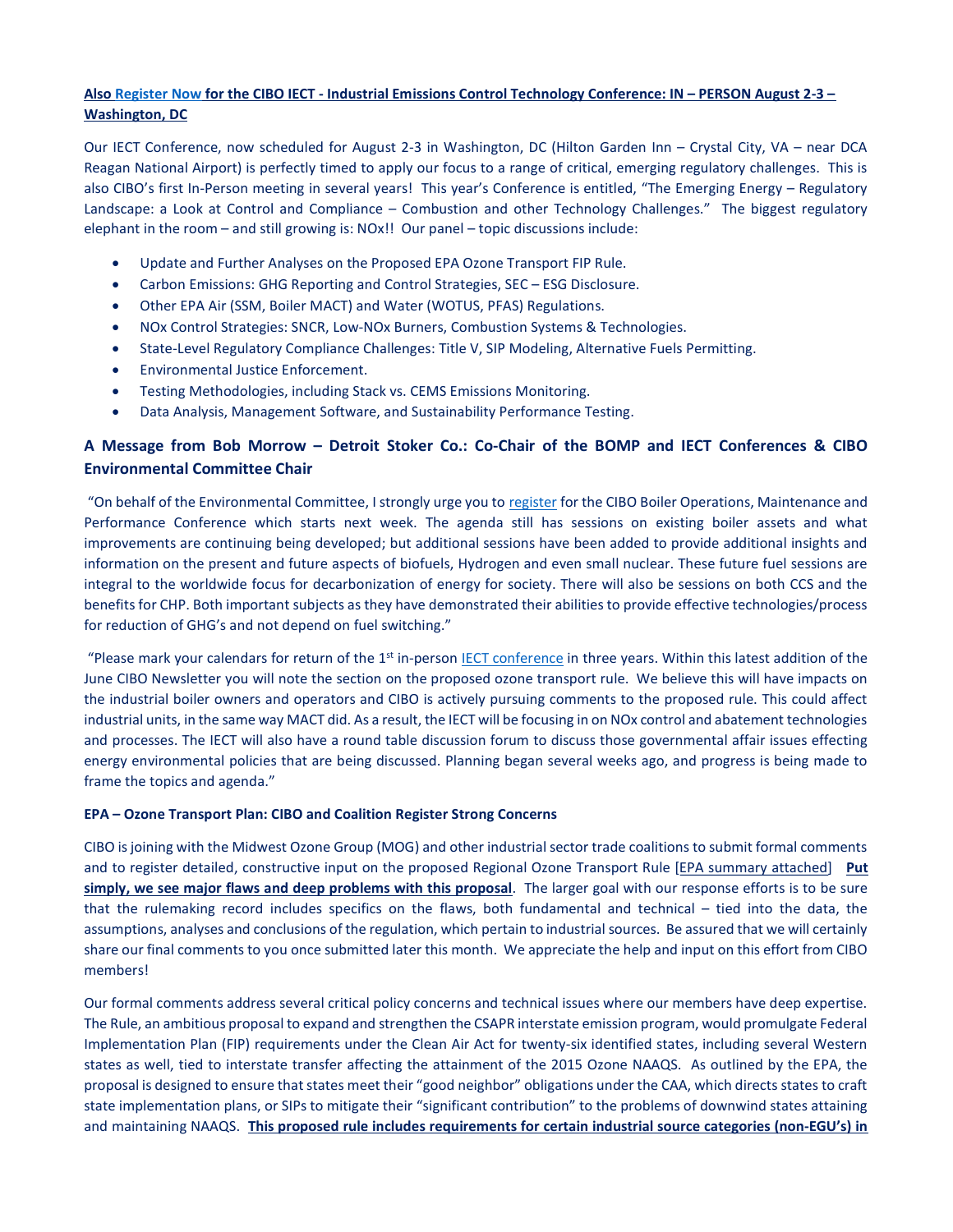### Also Register Now for the CIBO IECT - Industrial Emissions Control Technology Conference: IN – PERSON August 2-3 – Washington, DC

Our IECT Conference, now scheduled for August 2-3 in Washington, DC (Hilton Garden Inn – Crystal City, VA – near DCA Reagan National Airport) is perfectly timed to apply our focus to a range of critical, emerging regulatory challenges. This is also CIBO's first In-Person meeting in several years! This year's Conference is entitled, "The Emerging Energy – Regulatory Landscape: a Look at Control and Compliance – Combustion and other Technology Challenges." The biggest regulatory elephant in the room – and still growing is: NOx!! Our panel – topic discussions include:

- Update and Further Analyses on the Proposed EPA Ozone Transport FIP Rule.
- Carbon Emissions: GHG Reporting and Control Strategies, SEC ESG Disclosure.
- Other EPA Air (SSM, Boiler MACT) and Water (WOTUS, PFAS) Regulations.
- NOx Control Strategies: SNCR, Low-NOx Burners, Combustion Systems & Technologies.
- State-Level Regulatory Compliance Challenges: Title V, SIP Modeling, Alternative Fuels Permitting.
- Environmental Justice Enforcement.
- Testing Methodologies, including Stack vs. CEMS Emissions Monitoring.
- Data Analysis, Management Software, and Sustainability Performance Testing.

## A Message from Bob Morrow – Detroit Stoker Co.: Co-Chair of the BOMP and IECT Conferences & CIBO Environmental Committee Chair

"On behalf of the Environmental Committee, I strongly urge you to register for the CIBO Boiler Operations, Maintenance and Performance Conference which starts next week. The agenda still has sessions on existing boiler assets and what improvements are continuing being developed; but additional sessions have been added to provide additional insights and information on the present and future aspects of biofuels, Hydrogen and even small nuclear. These future fuel sessions are integral to the worldwide focus for decarbonization of energy for society. There will also be sessions on both CCS and the benefits for CHP. Both important subjects as they have demonstrated their abilities to provide effective technologies/process for reduction of GHG's and not depend on fuel switching."

"Please mark your calendars for return of the  $1<sup>st</sup>$  in-person IECT conference in three years. Within this latest addition of the June CIBO Newsletter you will note the section on the proposed ozone transport rule. We believe this will have impacts on the industrial boiler owners and operators and CIBO is actively pursuing comments to the proposed rule. This could affect industrial units, in the same way MACT did. As a result, the IECT will be focusing in on NOx control and abatement technologies and processes. The IECT will also have a round table discussion forum to discuss those governmental affair issues effecting energy environmental policies that are being discussed. Planning began several weeks ago, and progress is being made to frame the topics and agenda."

#### EPA – Ozone Transport Plan: CIBO and Coalition Register Strong Concerns

CIBO is joining with the Midwest Ozone Group (MOG) and other industrial sector trade coalitions to submit formal comments and to register detailed, constructive input on the proposed Regional Ozone Transport Rule [EPA summary attached] Put simply, we see major flaws and deep problems with this proposal. The larger goal with our response efforts is to be sure that the rulemaking record includes specifics on the flaws, both fundamental and technical – tied into the data, the assumptions, analyses and conclusions of the regulation, which pertain to industrial sources. Be assured that we will certainly share our final comments to you once submitted later this month. We appreciate the help and input on this effort from CIBO members!

Our formal comments address several critical policy concerns and technical issues where our members have deep expertise. The Rule, an ambitious proposal to expand and strengthen the CSAPR interstate emission program, would promulgate Federal Implementation Plan (FIP) requirements under the Clean Air Act for twenty-six identified states, including several Western states as well, tied to interstate transfer affecting the attainment of the 2015 Ozone NAAQS. As outlined by the EPA, the proposal is designed to ensure that states meet their "good neighbor" obligations under the CAA, which directs states to craft state implementation plans, or SIPs to mitigate their "significant contribution" to the problems of downwind states attaining and maintaining NAAQS. This proposed rule includes requirements for certain industrial source categories (non-EGU's) in